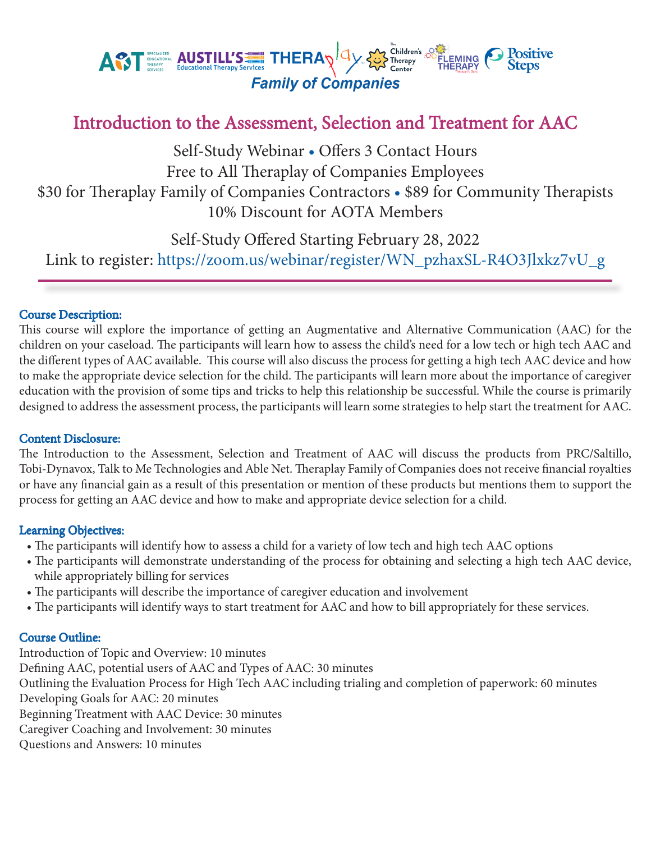

# Introduction to the Assessment, Selection and Treatment for AAC

Self-Study Webinar • Offers 3 Contact Hours Free to All Theraplay of Companies Employees \$30 for Theraplay Family of Companies Contractors • \$89 for Community Therapists 10% Discount for AOTA Members

Self-Study Offered Starting February 28, 2022

Link to register: https://zoom.us/webinar/register/WN\_pzhaxSL-R4O3Jlxkz7vU\_g

## Course Description:

This course will explore the importance of getting an Augmentative and Alternative Communication (AAC) for the children on your caseload. The participants will learn how to assess the child's need for a low tech or high tech AAC and the different types of AAC available. This course will also discuss the process for getting a high tech AAC device and how to make the appropriate device selection for the child. The participants will learn more about the importance of caregiver education with the provision of some tips and tricks to help this relationship be successful. While the course is primarily designed to address the assessment process, the participants will learn some strategies to help start the treatment for AAC.

## Content Disclosure:

The Introduction to the Assessment, Selection and Treatment of AAC will discuss the products from PRC/Saltillo, Tobi-Dynavox, Talk to Me Technologies and Able Net. Theraplay Family of Companies does not receive financial royalties or have any financial gain as a result of this presentation or mention of these products but mentions them to support the process for getting an AAC device and how to make and appropriate device selection for a child.

## Learning Objectives:

- The participants will identify how to assess a child for a variety of low tech and high tech AAC options
- The participants will demonstrate understanding of the process for obtaining and selecting a high tech AAC device, while appropriately billing for services
- The participants will describe the importance of caregiver education and involvement
- The participants will identify ways to start treatment for AAC and how to bill appropriately for these services.

## Course Outline:

Introduction of Topic and Overview: 10 minutes Defining AAC, potential users of AAC and Types of AAC: 30 minutes Outlining the Evaluation Process for High Tech AAC including trialing and completion of paperwork: 60 minutes Developing Goals for AAC: 20 minutes Beginning Treatment with AAC Device: 30 minutes Caregiver Coaching and Involvement: 30 minutes Questions and Answers: 10 minutes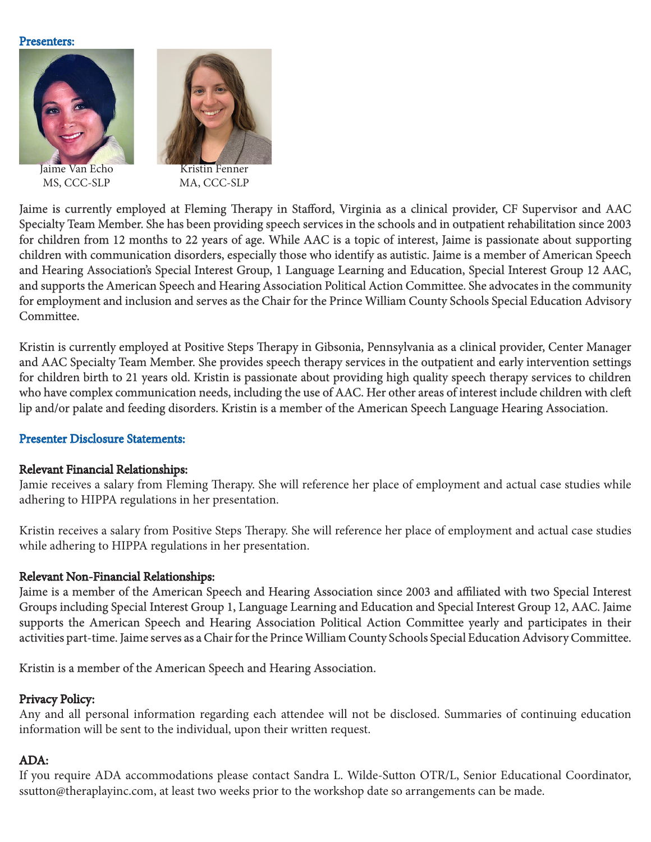#### Presenters:



Jaime Van Echo MS, CCC-SLP



MA, CCC-SLP

Jaime is currently employed at Fleming Therapy in Stafford, Virginia as a clinical provider, CF Supervisor and AAC Specialty Team Member. She has been providing speech services in the schools and in outpatient rehabilitation since 2003 for children from 12 months to 22 years of age. While AAC is a topic of interest, Jaime is passionate about supporting children with communication disorders, especially those who identify as autistic. Jaime is a member of American Speech and Hearing Association's Special Interest Group, 1 Language Learning and Education, Special Interest Group 12 AAC, and supports the American Speech and Hearing Association Political Action Committee. She advocates in the community for employment and inclusion and serves as the Chair for the Prince William County Schools Special Education Advisory Committee.

Kristin is currently employed at Positive Steps Therapy in Gibsonia, Pennsylvania as a clinical provider, Center Manager and AAC Specialty Team Member. She provides speech therapy services in the outpatient and early intervention settings for children birth to 21 years old. Kristin is passionate about providing high quality speech therapy services to children who have complex communication needs, including the use of AAC. Her other areas of interest include children with cleft lip and/or palate and feeding disorders. Kristin is a member of the American Speech Language Hearing Association.

## Presenter Disclosure Statements:

### Relevant Financial Relationships:

Jamie receives a salary from Fleming Therapy. She will reference her place of employment and actual case studies while adhering to HIPPA regulations in her presentation.

Kristin receives a salary from Positive Steps Therapy. She will reference her place of employment and actual case studies while adhering to HIPPA regulations in her presentation.

## Relevant Non-Financial Relationships:

Jaime is a member of the American Speech and Hearing Association since 2003 and affiliated with two Special Interest Groups including Special Interest Group 1, Language Learning and Education and Special Interest Group 12, AAC. Jaime supports the American Speech and Hearing Association Political Action Committee yearly and participates in their activities part-time. Jaime serves as a Chair for the Prince William County Schools Special Education Advisory Committee.

## Kristin is a member of the American Speech and Hearing Association.

## Privacy Policy:

Any and all personal information regarding each attendee will not be disclosed. Summaries of continuing education information will be sent to the individual, upon their written request.

## ADA:

If you require ADA accommodations please contact Sandra L. Wilde-Sutton OTR/L, Senior Educational Coordinator, ssutton@theraplayinc.com, at least two weeks prior to the workshop date so arrangements can be made.